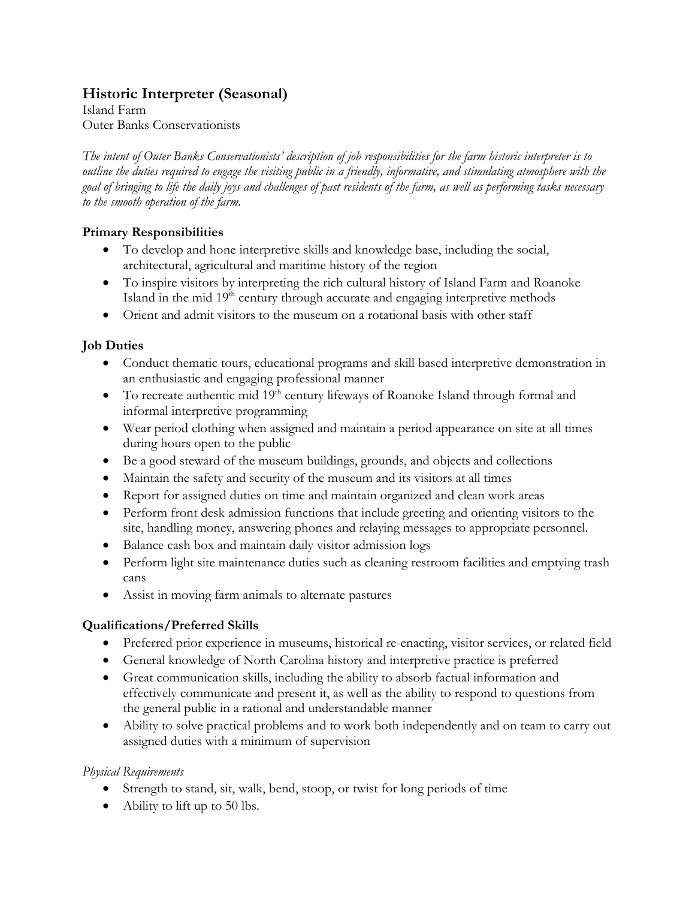# **Historic Interpreter (Seasonal)**

Island Farm Outer Banks Conservationists

*The intent of Outer Banks Conservationists' description of job responsibilities for the farm historic interpreter is to outline the duties required to engage the visiting public in a friendly, informative, and stimulating atmosphere with the goal of bringing to life the daily joys and challenges of past residents of the farm, as well as performing tasks necessary to the smooth operation of the farm.*

#### **Primary Responsibilities**

- To develop and hone interpretive skills and knowledge base, including the social, architectural, agricultural and maritime history of the region
- To inspire visitors by interpreting the rich cultural history of Island Farm and Roanoke Island in the mid 19<sup>th</sup> century through accurate and engaging interpretive methods
- Orient and admit visitors to the museum on a rotational basis with other staff

## **Job Duties**

- Conduct thematic tours, educational programs and skill based interpretive demonstration in an enthusiastic and engaging professional manner
- To recreate authentic mid  $19<sup>th</sup>$  century lifeways of Roanoke Island through formal and informal interpretive programming
- Wear period clothing when assigned and maintain a period appearance on site at all times during hours open to the public
- Be a good steward of the museum buildings, grounds, and objects and collections
- Maintain the safety and security of the museum and its visitors at all times
- Report for assigned duties on time and maintain organized and clean work areas
- Perform front desk admission functions that include greeting and orienting visitors to the site, handling money, answering phones and relaying messages to appropriate personnel.
- Balance cash box and maintain daily visitor admission logs
- Perform light site maintenance duties such as cleaning restroom facilities and emptying trash cans
- Assist in moving farm animals to alternate pastures

## **Qualifications/Preferred Skills**

- Preferred prior experience in museums, historical re-enacting, visitor services, or related field
- General knowledge of North Carolina history and interpretive practice is preferred
- Great communication skills, including the ability to absorb factual information and effectively communicate and present it, as well as the ability to respond to questions from the general public in a rational and understandable manner
- Ability to solve practical problems and to work both independently and on team to carry out assigned duties with a minimum of supervision

#### *Physical Requirements*

- Strength to stand, sit, walk, bend, stoop, or twist for long periods of time
- Ability to lift up to 50 lbs.